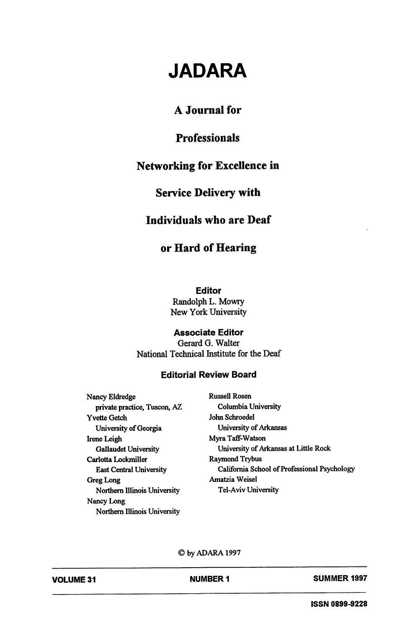# JADARA

# A Journal for

# **Professionals**

# Networking for Excellence in

## Service Delivery with

#### Individuals who are Deaf

## or Hard of Hearing

Editor

Randolph L. Mowry New York University

#### Associate Editor

Gerard G. Walter National Technical Institute for the Deaf

#### Editorial Review Board

Nancy Eldredge Russell Rosen private practice, Tuscon, AZ Columbia University Yvette Getch John Schroedel University of Georgia University of Arkansas Irene Leigh Myra Taff-Watson Carlotta Lockmiller Greg Long **Amatzia Weisel** Northern Illinois University Tel-Aviv University Nancy Long Northern Illinois University

Gallaudet University **Challaudet University Challaudet University Challaudet University of Arkansas at Little Rock**<br>
Raymond Trybus East Central University California School of Professional Psychology

©byADARAI997

NUMBER 1 SUMMER 1997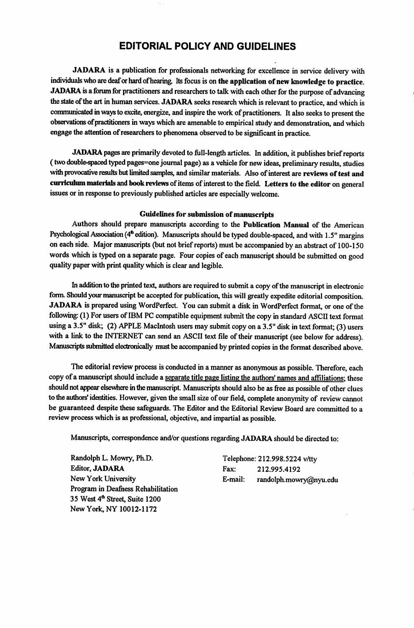#### EDITORIAL POLICY AND GUIDELINES

JADARA is a publication for professionals networking for excellence in service delivery with individuals who are deaf or hand of hearing. Its focus is on the application of new knowledge to practice. JADARA is a forum for practitioners and researchers to talk with each other for the purpose of advancing the state of the art in human services. JADARA seeks research which is relevant to practice, and which is communicated in ways to excite, energize, and inspire the work of practitioners. It also seeks to present the observations ofpractitioners in ways which are amenable to empirical study and demonstration, and which engage the attention of researchers to phenomena observed to be significant in practice.

JADARA pages are primarily devoted to full-length articles. In addition, it publishes brief reports (two double-spaced typed pages=one journal page) as a vehicle for new ideas, preliminary results, studies with provocative results but limited samples, and similar materials. Also of interest are reviews of test and curriculum materials and book reviews of items of interest to the field. Letters to the editor on general issues or in response to previously published articles are especially welcome.

#### Guidelines for submission of manuscripts

Authors should prepare manuscripts according to the Publication Manual of the American Psychological Association (4<sup>th</sup> edition). Manuscripts should be typed double-spaced, and with 1.5" margins on each side. Major manuscripts (but not brief reports) must be accompanied by an abstract of 100-150 words which is typed on a separate page. Four copies of each manuscript should be submitted on good quality paper with print quality which is clear and legible.

In addition to the printed text, authors are required to submit a copy of the manuscript in electronic form. Should your manuscript be accepted for publication, this will greatly expedite editorial composition. JADARA is prepared using WordPerfect. You can submit a disk in WordPerfect format, or one of the following: (1) For users of IBM PC compatible equipment submit the copy in standard ASCII text format using a 3.5" disk; (2) APPLE Macintosh users may submit copy on a 3.5" disk in text format; (3) users with a link to the INTERNET can send an ASCII text file of their manuscript (see below for address). Manuscripts submitted electronically must be accompanied by printed copies in the format described above.

The editorial review process is conducted in a manner as anonymous as possible. Therefore, each copy of a manuscript should include a separate title page listing the authors' names and affiliations; these should not appear elsewhere in the manuscript. Manuscripts should also be as free as possible of other clues to the authors' identities. However, given the small size of our field, complete anonymity of review cannot be guaranteed despite these safeguards. The Editor and the Editorial Review Board are committed to a review process which is as professional, objective, and impartial as possible.

Manuscripts, correspondence and/or questions regarding JADARA should be directed to:

Randolph L. Mowry, Ph.D. Telephone: 212.998.5224 v/tty Editor, JADARA Fax: 212.995.4192 Program in Deafness Rehabilitation 35 West 4<sup>th</sup> Street, Suite 1200 New York, NY 10012-1172

New York University **E-mail:** randolph.mowry@nyu.edu